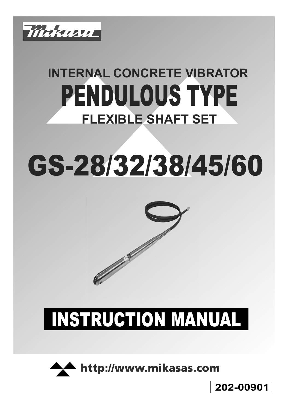

## **INTERNAL CONCRETE VIBRATOR** PENDULOUS TYPE **FLEXIBLE SHAFT SET**

# GS-28/32/38/45/60



## INSTRUCTION MANUAL



**202-00901**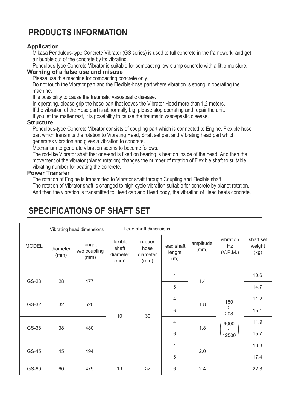## **PRODUCTS INFORMATION**

#### **Application**

Mikasa Pendulous-type Concrete Vibrator (GS series) is used to full concrete in the framework, and get air bubble out of the concrete by its vibrating.

Pendulous-type Concrete Vibrator is suitable for compacting low-slump concrete with a little moisture.

#### **Warning of a false use and misuse**

Please use this machine for compacting concrete only.

Do not touch the Vibrator part and the Flexible-hose part where vibration is strong in operating the machine.

It is possibility to cause the traumatic vasospastic disease.

In operating, please grip the hose-part that leaves the Vibrator Head more than 1.2 meters.

If the vibration of the Hose part is abnormally big, please stop operating and repair the unit.

If you let the matter rest, it is possibility to cause the traumatic vasospastic disease.

#### **Structure**

Pendulous-type Concrete Vibrator consists of coupling part which is connected to Engine, Flexible hose part which transmits the rotation to Vibrating Head, Shaft set part and Vibrating head part which generates vibration and gives a vibration to concrete.

Mechanism to generate vibration seems to become follows.

The rod-like Vibrator shaft that one-end is fixed on bearing is beat on inside of the head. And then the movement of the vibrator (planet rotation) changes the number of rotation of Flexible shaft to suitable vibrating number for beating the concrete.

#### **Power Transfer**

The rotation of Engine is transmitted to Vibrator shaft through Coupling and Flexible shaft.

The rotation of Vibrator shaft is changed to high-cycle vibration suitable for concrete by planet rotation. And then the vibration is transmitted to Head cap and Head body, the vibration of Head beats concrete.

| <b>MODEL</b> | Vibrating head dimensions |                                | Lead shaft dimensions                 |                                    |                             |                   |                                                                 |                             |
|--------------|---------------------------|--------------------------------|---------------------------------------|------------------------------------|-----------------------------|-------------------|-----------------------------------------------------------------|-----------------------------|
|              | diameter<br>(mm)          | lenght<br>w/o coupling<br>(mm) | flexible<br>shaft<br>diameter<br>(mm) | rubber<br>hose<br>diameter<br>(mm) | lead shaft<br>lenght<br>(m) | amplitude<br>(mm) | vibration<br>Hz<br>(V.P.M.)                                     | shaft set<br>weight<br>(kg) |
| <b>GS-28</b> | 28                        | 477                            | 10                                    | 30                                 | $\overline{4}$              | 1.4               | 150<br>$\mathcal{L}_{\mathcal{L}}$<br>208<br>9000<br>l<br>12500 | 10.6                        |
|              |                           |                                |                                       |                                    | $6\phantom{1}$              |                   |                                                                 | 14.7                        |
| GS-32        | 32                        | 520                            |                                       |                                    | $\overline{4}$              | 1.8               |                                                                 | 11.2                        |
|              |                           |                                |                                       |                                    | $6\phantom{1}$              |                   |                                                                 | 15.1                        |
| GS-38        | 38                        | 480                            |                                       |                                    | 4                           | 1.8               |                                                                 | 11.9                        |
|              |                           |                                |                                       |                                    | 6                           |                   |                                                                 | 15.7                        |
| GS-45        | 45                        | 494                            |                                       |                                    | $\overline{4}$              | 2.0               |                                                                 | 13.3                        |
|              |                           |                                |                                       |                                    | $6\phantom{1}6$             |                   |                                                                 | 17.4                        |
| GS-60        | 60                        | 479                            | 13                                    | 32                                 | $6\,$                       | 2.4               |                                                                 | 22.3                        |

### **SPECIFICATIONS OF SHAFT SET**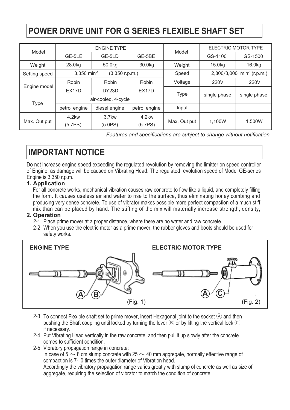## **POWER DRIVE UNIT FOR G SERIES FLEXIBLE SHAFT SET**

| Model         |                    | <b>ENGINE TYPE</b>  |                    | Model        | <b>ELECTRIC MOTOR TYPE</b>        |              |  |
|---------------|--------------------|---------------------|--------------------|--------------|-----------------------------------|--------------|--|
|               | GE-5LE             | GE-5LD              | GE-5BE             |              | GS-1100                           | GS-1500      |  |
| Weight        | 28.0kg             | 50.0kg              | 30.0kg             | Weight       | 15.0kg                            | 16.0kg       |  |
| Setting speed | 3,350 min-1        | (3,350 r.p.m.)      |                    | Speed        | 2,800/3,000<br>$min^{-1}(r.p.m.)$ |              |  |
| Engine model  | Robin              | Robin               | Robin              | Voltage      | 220V                              | 220V         |  |
|               | EX <sub>17</sub> D | DY <sub>23</sub> D  | EX <sub>17</sub> D | <b>Type</b>  | single phase                      | single phase |  |
| <b>Type</b>   |                    | air-cooled, 4-cycle |                    |              |                                   |              |  |
|               | petrol engine      | diesel engine       | petrol engine      | Input        |                                   |              |  |
| Max. Out put  | 4.2kw<br>(5.7PS)   | $3.7$ kw<br>(5.0PS) | 4.2kw<br>(5.7PS)   | Max. Out put | 1,100W                            | 1,500W       |  |

*Features and specifications are subject to change without notification.*

## **IMPORTANT NOTICE**

Do not increase engine speed exceeding the regulated revolution by removing the limitter on speed controller of Engine, as damage will be caused on Vibrating Head. The regulated revolution speed of Model GE-series Engine is 3,350 r.p.m.

#### **1. Application**

For all concrete works, mechanical vibration causes raw concrete to flow like a liquid, and completely filling the form. It causes useless air and water to rise to the surface, thus eliminating honey combing and producing very dense concrete. To use of vibrator makes possible more perfect compaction of a much stiff mix than can be placed by hand. The stiffing of the mix will materially increase strength, density,

#### **2. Operation**

- 2-1 Place prime mover at a proper distance, where there are no water and raw concrete.
- When you use the electric motor as a prime mover, the rubber gloves and boots should be used for 2-2 safety works.



- 2-3  $\,$  To connect Flexible shaft set to prime mover, insert Hexagonal joint to the socket  $\circledA$  and then pushing the Shaft coupling until locked by turning the lever  $\circledB$  or by lifting the vertical lock  $\circledC$ if necessary.
- 2-4 Put Vibrating Head vertically in the raw concrete, and then pull it up slowly after the concrete comes to sufficient condition.
- 2-5 Vibratory propagation range in concrete:

In case of 5  $\sim$  8 cm slump concrete with 25  $\sim$  40 mm aggregate, normally effective range of compaction is 7- l0 times the outer diameter of Vibration head.

Accordingly the vibratory propagation range varies greatly with slump of concrete as well as size of aggregate, requiring the selection of vibrator to match the condition of concrete.